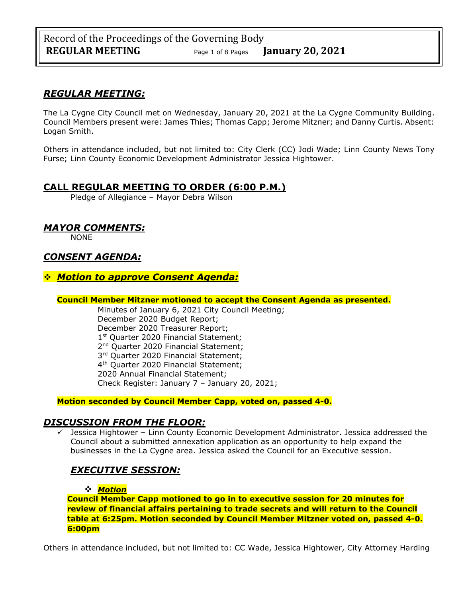# *REGULAR MEETING:*

The La Cygne City Council met on Wednesday, January 20, 2021 at the La Cygne Community Building. Council Members present were: James Thies; Thomas Capp; Jerome Mitzner; and Danny Curtis. Absent: Logan Smith.

Others in attendance included, but not limited to: City Clerk (CC) Jodi Wade; Linn County News Tony Furse; Linn County Economic Development Administrator Jessica Hightower.

# **CALL REGULAR MEETING TO ORDER (6:00 P.M.)**

Pledge of Allegiance – Mayor Debra Wilson

# *MAYOR COMMENTS:*

NONE

# *CONSENT AGENDA:*

# ❖ *Motion to approve Consent Agenda:*

## **Council Member Mitzner motioned to accept the Consent Agenda as presented.**

Minutes of January 6, 2021 City Council Meeting; December 2020 Budget Report; December 2020 Treasurer Report; 1<sup>st</sup> Quarter 2020 Financial Statement; 2<sup>nd</sup> Quarter 2020 Financial Statement; 3<sup>rd</sup> Quarter 2020 Financial Statement; 4<sup>th</sup> Quarter 2020 Financial Statement; 2020 Annual Financial Statement; Check Register: January 7 – January 20, 2021;

**Motion seconded by Council Member Capp, voted on, passed 4-0.** 

# *DISCUSSION FROM THE FLOOR:*

 $\checkmark$  Jessica Hightower – Linn County Economic Development Administrator. Jessica addressed the Council about a submitted annexation application as an opportunity to help expand the businesses in the La Cygne area. Jessica asked the Council for an Executive session.

# *EXECUTIVE SESSION:*

# ❖ *Motion*

**Council Member Capp motioned to go in to executive session for 20 minutes for review of financial affairs pertaining to trade secrets and will return to the Council table at 6:25pm. Motion seconded by Council Member Mitzner voted on, passed 4-0. 6:00pm** 

Others in attendance included, but not limited to: CC Wade, Jessica Hightower, City Attorney Harding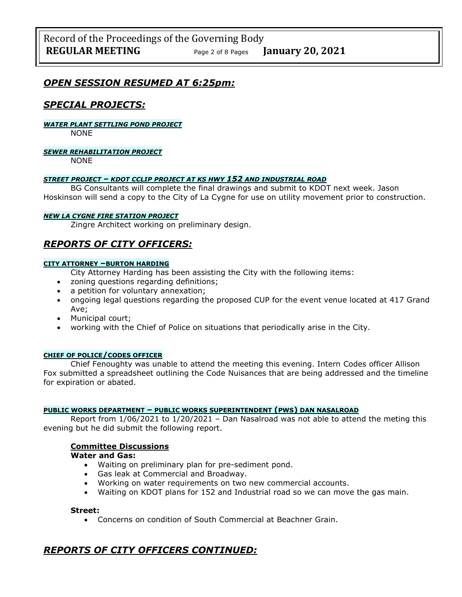# *OPEN SESSION RESUMED AT 6:25pm:*

# *SPECIAL PROJECTS:*

## *WATER PLANT SETTLING POND PROJECT*

NONE

## *SEWER REHABILITATION PROJECT*

NONE

### *STREET PROJECT – KDOT CCLIP PROJECT AT KS HWY 152 AND INDUSTRIAL ROAD*

BG Consultants will complete the final drawings and submit to KDOT next week. Jason Hoskinson will send a copy to the City of La Cygne for use on utility movement prior to construction.

### *NEW LA CYGNE FIRE STATION PROJECT*

Zingre Architect working on preliminary design.

# *REPORTS OF CITY OFFICERS:*

# **CITY ATTORNEY –BURTON HARDING**

- City Attorney Harding has been assisting the City with the following items:
- zoning questions regarding definitions;
- a petition for voluntary annexation;
- ongoing legal questions regarding the proposed CUP for the event venue located at 417 Grand Ave;
- Municipal court;
- working with the Chief of Police on situations that periodically arise in the City.

### **CHIEF OF POLICE/CODES OFFICER**

Chief Fenoughty was unable to attend the meeting this evening. Intern Codes officer Allison Fox submitted a spreadsheet outlining the Code Nuisances that are being addressed and the timeline for expiration or abated.

### **PUBLIC WORKS DEPARTMENT – PUBLIC WORKS SUPERINTENDENT (PWS) DAN NASALROAD**

Report from 1/06/2021 to 1/20/2021 – Dan Nasalroad was not able to attend the meting this evening but he did submit the following report.

## **Committee Discussions**

**Water and Gas:**

- Waiting on preliminary plan for pre-sediment pond.
- Gas leak at Commercial and Broadway.
- Working on water requirements on two new commercial accounts.
- Waiting on KDOT plans for 152 and Industrial road so we can move the gas main.

#### **Street:**

• Concerns on condition of South Commercial at Beachner Grain.

# *REPORTS OF CITY OFFICERS CONTINUED:*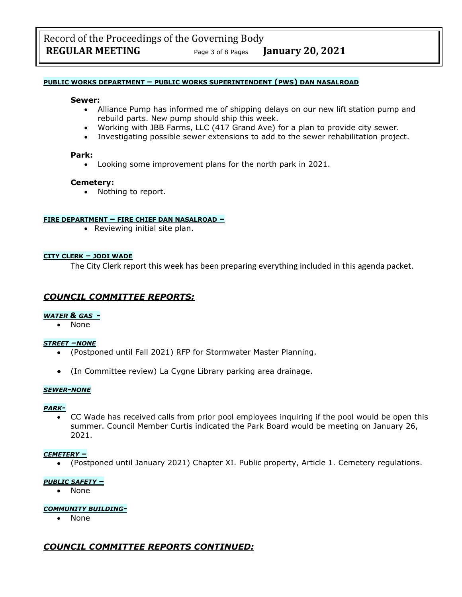#### **PUBLIC WORKS DEPARTMENT – PUBLIC WORKS SUPERINTENDENT (PWS) DAN NASALROAD**

#### **Sewer:**

- Alliance Pump has informed me of shipping delays on our new lift station pump and rebuild parts. New pump should ship this week.
- Working with JBB Farms, LLC (417 Grand Ave) for a plan to provide city sewer.
- Investigating possible sewer extensions to add to the sewer rehabilitation project.

#### **Park:**

• Looking some improvement plans for the north park in 2021.

#### **Cemetery:**

• Nothing to report.

#### **FIRE DEPARTMENT – FIRE CHIEF DAN NASALROAD –**

• Reviewing initial site plan.

#### **CITY CLERK – JODI WADE**

The City Clerk report this week has been preparing everything included in this agenda packet.

# *COUNCIL COMMITTEE REPORTS:*

### *WATER & GAS -*

• None

### *STREET –NONE*

- (Postponed until Fall 2021) RFP for Stormwater Master Planning.
- (In Committee review) La Cygne Library parking area drainage.

#### *SEWER-NONE*

#### *PARK-*

• CC Wade has received calls from prior pool employees inquiring if the pool would be open this summer. Council Member Curtis indicated the Park Board would be meeting on January 26, 2021.

### *CEMETERY –*

• (Postponed until January 2021) Chapter XI. Public property, Article 1. Cemetery regulations.

## *PUBLIC SAFETY –*

• None

### *COMMUNITY BUILDING-*

• None

# *COUNCIL COMMITTEE REPORTS CONTINUED:*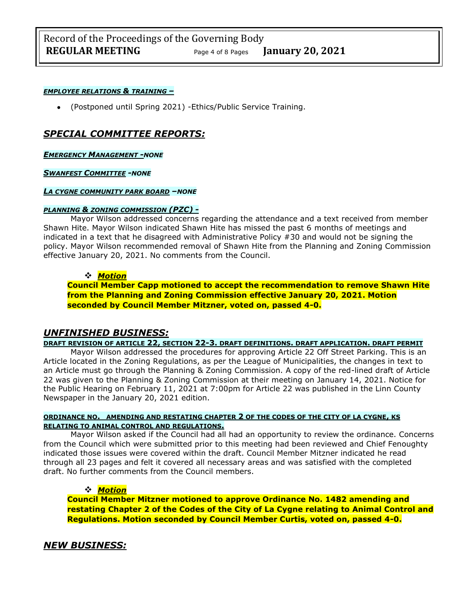Record of the Proceedings of the Governing Body **REGULAR MEETING** Page <sup>4</sup> of 8 Pages **January 20, 2021**

### *EMPLOYEE RELATIONS & TRAINING –*

• (Postponed until Spring 2021) -Ethics/Public Service Training.

# *SPECIAL COMMITTEE REPORTS:*

#### *EMERGENCY MANAGEMENT -NONE*

#### *SWANFEST COMMITTEE -NONE*

#### *LA CYGNE COMMUNITY PARK BOARD –NONE*

## *PLANNING & ZONING COMMISSION (PZC) -*

Mayor Wilson addressed concerns regarding the attendance and a text received from member Shawn Hite. Mayor Wilson indicated Shawn Hite has missed the past 6 months of meetings and indicated in a text that he disagreed with Administrative Policy #30 and would not be signing the policy. Mayor Wilson recommended removal of Shawn Hite from the Planning and Zoning Commission effective January 20, 2021. No comments from the Council.

## ❖ *Motion*

**Council Member Capp motioned to accept the recommendation to remove Shawn Hite from the Planning and Zoning Commission effective January 20, 2021. Motion seconded by Council Member Mitzner, voted on, passed 4-0.**

# *UNFINISHED BUSINESS:*

### **DRAFT REVISION OF ARTICLE 22, SECTION 22-3. DRAFT DEFINITIONS. DRAFT APPLICATION. DRAFT PERMIT**

Mayor Wilson addressed the procedures for approving Article 22 Off Street Parking. This is an Article located in the Zoning Regulations, as per the League of Municipalities, the changes in text to an Article must go through the Planning & Zoning Commission. A copy of the red-lined draft of Article 22 was given to the Planning & Zoning Commission at their meeting on January 14, 2021. Notice for the Public Hearing on February 11, 2021 at 7:00pm for Article 22 was published in the Linn County Newspaper in the January 20, 2021 edition.

## **ORDINANCE NO. AMENDING AND RESTATING CHAPTER 2 OF THE CODES OF THE CITY OF LA CYGNE, KS RELATING TO ANIMAL CONTROL AND REGULATIONS.**

Mayor Wilson asked if the Council had all had an opportunity to review the ordinance. Concerns from the Council which were submitted prior to this meeting had been reviewed and Chief Fenoughty indicated those issues were covered within the draft. Council Member Mitzner indicated he read through all 23 pages and felt it covered all necessary areas and was satisfied with the completed draft. No further comments from the Council members.

## ❖ *Motion*

**Council Member Mitzner motioned to approve Ordinance No. 1482 amending and restating Chapter 2 of the Codes of the City of La Cygne relating to Animal Control and Regulations. Motion seconded by Council Member Curtis, voted on, passed 4-0.**

# *NEW BUSINESS:*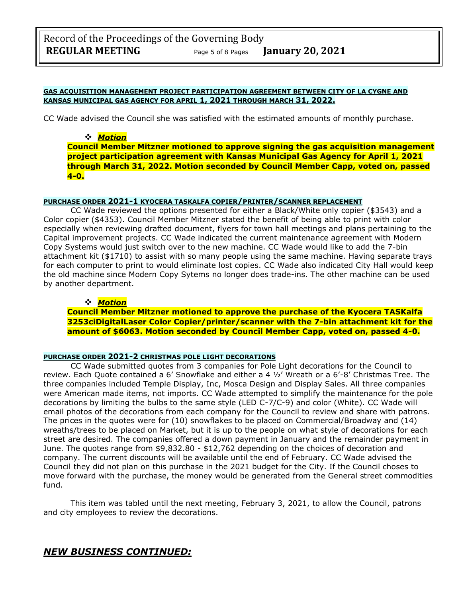## **GAS ACQUISITION MANAGEMENT PROJECT PARTICIPATION AGREEMENT BETWEEN CITY OF LA CYGNE AND KANSAS MUNICIPAL GAS AGENCY FOR APRIL 1, 2021 THROUGH MARCH 31, 2022.**

CC Wade advised the Council she was satisfied with the estimated amounts of monthly purchase.

❖ *Motion*  **Council Member Mitzner motioned to approve signing the gas acquisition management project participation agreement with Kansas Municipal Gas Agency for April 1, 2021 through March 31, 2022. Motion seconded by Council Member Capp, voted on, passed 4-0.**

#### **PURCHASE ORDER 2021-1 KYOCERA TASKALFA COPIER/PRINTER/SCANNER REPLACEMENT**

CC Wade reviewed the options presented for either a Black/White only copier (\$3543) and a Color copier (\$4353). Council Member Mitzner stated the benefit of being able to print with color especially when reviewing drafted document, flyers for town hall meetings and plans pertaining to the Capital improvement projects. CC Wade indicated the current maintenance agreement with Modern Copy Systems would just switch over to the new machine. CC Wade would like to add the 7-bin attachment kit (\$1710) to assist with so many people using the same machine. Having separate trays for each computer to print to would eliminate lost copies. CC Wade also indicated City Hall would keep the old machine since Modern Copy Sytems no longer does trade-ins. The other machine can be used by another department.

### ❖ *Motion*

**Council Member Mitzner motioned to approve the purchase of the Kyocera TASKalfa 3253ciDigitalLaser Color Copier/printer/scanner with the 7-bin attachment kit for the amount of \$6063. Motion seconded by Council Member Capp, voted on, passed 4-0.**

### **PURCHASE ORDER 2021-2 CHRISTMAS POLE LIGHT DECORATIONS**

CC Wade submitted quotes from 3 companies for Pole Light decorations for the Council to review. Each Quote contained a 6' Snowflake and either a 4 ½' Wreath or a 6'-8' Christmas Tree. The three companies included Temple Display, Inc, Mosca Design and Display Sales. All three companies were American made items, not imports. CC Wade attempted to simplify the maintenance for the pole decorations by limiting the bulbs to the same style (LED C-7/C-9) and color (White). CC Wade will email photos of the decorations from each company for the Council to review and share with patrons. The prices in the quotes were for (10) snowflakes to be placed on Commercial/Broadway and (14) wreaths/trees to be placed on Market, but it is up to the people on what style of decorations for each street are desired. The companies offered a down payment in January and the remainder payment in June. The quotes range from \$9,832.80 - \$12,762 depending on the choices of decoration and company. The current discounts will be available until the end of February. CC Wade advised the Council they did not plan on this purchase in the 2021 budget for the City. If the Council choses to move forward with the purchase, the money would be generated from the General street commodities fund.

This item was tabled until the next meeting, February 3, 2021, to allow the Council, patrons and city employees to review the decorations.

# *NEW BUSINESS CONTINUED:*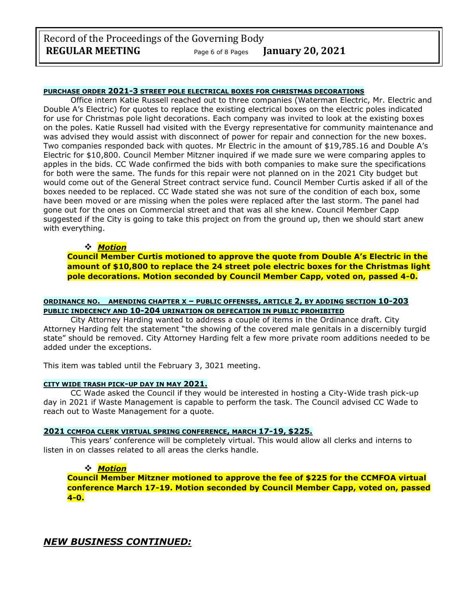Record of the Proceedings of the Governing Body **REGULAR MEETING** Page <sup>6</sup> of 8 Pages **January 20, 2021**

# **PURCHASE ORDER 2021-3 STREET POLE ELECTRICAL BOXES FOR CHRISTMAS DECORATIONS**

Office intern Katie Russell reached out to three companies (Waterman Electric, Mr. Electric and Double A's Electric) for quotes to replace the existing electrical boxes on the electric poles indicated for use for Christmas pole light decorations. Each company was invited to look at the existing boxes on the poles. Katie Russell had visited with the Evergy representative for community maintenance and was advised they would assist with disconnect of power for repair and connection for the new boxes. Two companies responded back with quotes. Mr Electric in the amount of \$19,785.16 and Double A's Electric for \$10,800. Council Member Mitzner inquired if we made sure we were comparing apples to apples in the bids. CC Wade confirmed the bids with both companies to make sure the specifications for both were the same. The funds for this repair were not planned on in the 2021 City budget but would come out of the General Street contract service fund. Council Member Curtis asked if all of the boxes needed to be replaced. CC Wade stated she was not sure of the condition of each box, some have been moved or are missing when the poles were replaced after the last storm. The panel had gone out for the ones on Commercial street and that was all she knew. Council Member Capp suggested if the City is going to take this project on from the ground up, then we should start anew with everything.

## ❖ *Motion*

**Council Member Curtis motioned to approve the quote from Double A's Electric in the amount of \$10,800 to replace the 24 street pole electric boxes for the Christmas light pole decorations. Motion seconded by Council Member Capp, voted on, passed 4-0.**

## **ORDINANCE NO. AMENDING CHAPTER X – PUBLIC OFFENSES, ARTICLE 2, BY ADDING SECTION 10-203 PUBLIC INDECENCY AND 10-204 URINATION OR DEFECATION IN PUBLIC PROHIBITED**

City Attorney Harding wanted to address a couple of items in the Ordinance draft. City Attorney Harding felt the statement "the showing of the covered male genitals in a discernibly turgid state" should be removed. City Attorney Harding felt a few more private room additions needed to be added under the exceptions.

This item was tabled until the February 3, 3021 meeting.

#### **CITY WIDE TRASH PICK-UP DAY IN MAY 2021.**

CC Wade asked the Council if they would be interested in hosting a City-Wide trash pick-up day in 2021 if Waste Management is capable to perform the task. The Council advised CC Wade to reach out to Waste Management for a quote.

### **2021 CCMFOA CLERK VIRTUAL SPRING CONFERENCE, MARCH 17-19, \$225.**

This years' conference will be completely virtual. This would allow all clerks and interns to listen in on classes related to all areas the clerks handle.

### ❖ *Motion*

**Council Member Mitzner motioned to approve the fee of \$225 for the CCMFOA virtual conference March 17-19. Motion seconded by Council Member Capp, voted on, passed 4-0.**

# *NEW BUSINESS CONTINUED:*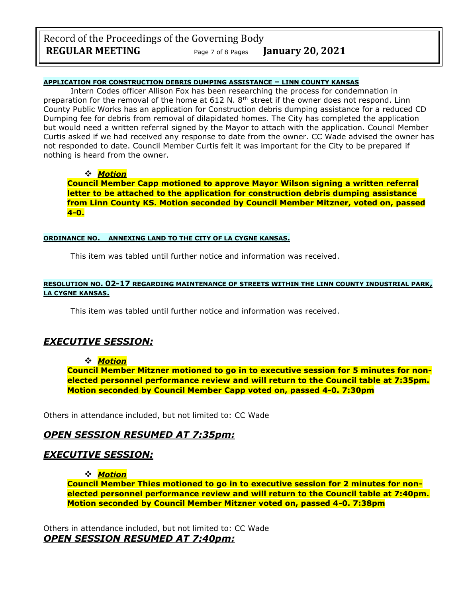# Record of the Proceedings of the Governing Body **REGULAR MEETING** Page <sup>7</sup> of 8 Pages **January 20, 2021**

## **APPLICATION FOR CONSTRUCTION DEBRIS DUMPING ASSISTANCE – LINN COUNTY KANSAS**

Intern Codes officer Allison Fox has been researching the process for condemnation in preparation for the removal of the home at 612 N.  $8<sup>th</sup>$  street if the owner does not respond. Linn County Public Works has an application for Construction debris dumping assistance for a reduced CD Dumping fee for debris from removal of dilapidated homes. The City has completed the application but would need a written referral signed by the Mayor to attach with the application. Council Member Curtis asked if we had received any response to date from the owner. CC Wade advised the owner has not responded to date. Council Member Curtis felt it was important for the City to be prepared if nothing is heard from the owner.

## ❖ *Motion*

**Council Member Capp motioned to approve Mayor Wilson signing a written referral letter to be attached to the application for construction debris dumping assistance from Linn County KS. Motion seconded by Council Member Mitzner, voted on, passed 4-0.**

### **ORDINANCE NO. ANNEXING LAND TO THE CITY OF LA CYGNE KANSAS.**

This item was tabled until further notice and information was received.

## **RESOLUTION NO. 02-17 REGARDING MAINTENANCE OF STREETS WITHIN THE LINN COUNTY INDUSTRIAL PARK, LA CYGNE KANSAS.**

This item was tabled until further notice and information was received.

# *EXECUTIVE SESSION:*

❖ *Motion* 

**Council Member Mitzner motioned to go in to executive session for 5 minutes for nonelected personnel performance review and will return to the Council table at 7:35pm. Motion seconded by Council Member Capp voted on, passed 4-0. 7:30pm** 

Others in attendance included, but not limited to: CC Wade

# *OPEN SESSION RESUMED AT 7:35pm:*

# *EXECUTIVE SESSION:*

❖ *Motion* 

**Council Member Thies motioned to go in to executive session for 2 minutes for nonelected personnel performance review and will return to the Council table at 7:40pm. Motion seconded by Council Member Mitzner voted on, passed 4-0. 7:38pm** 

Others in attendance included, but not limited to: CC Wade *OPEN SESSION RESUMED AT 7:40pm:*